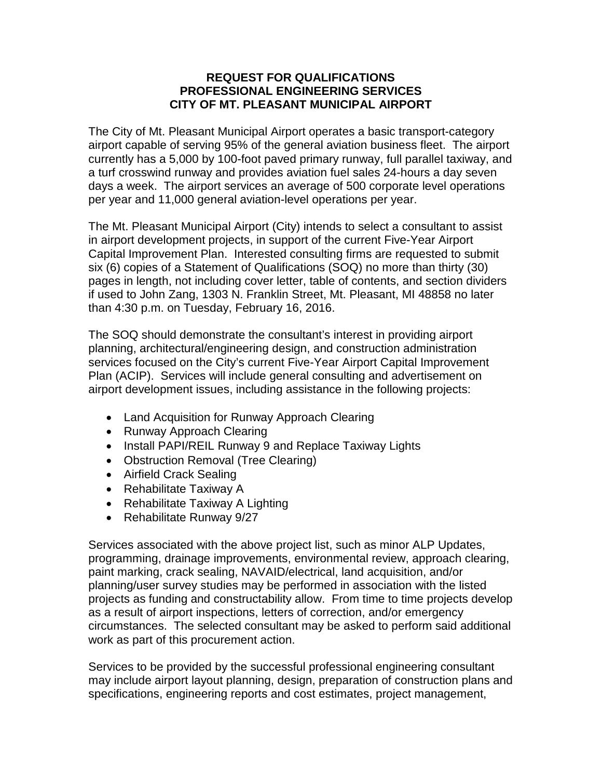### **REQUEST FOR QUALIFICATIONS PROFESSIONAL ENGINEERING SERVICES CITY OF MT. PLEASANT MUNICIPAL AIRPORT**

The City of Mt. Pleasant Municipal Airport operates a basic transport-category airport capable of serving 95% of the general aviation business fleet. The airport currently has a 5,000 by 100-foot paved primary runway, full parallel taxiway, and a turf crosswind runway and provides aviation fuel sales 24-hours a day seven days a week. The airport services an average of 500 corporate level operations per year and 11,000 general aviation-level operations per year.

The Mt. Pleasant Municipal Airport (City) intends to select a consultant to assist in airport development projects, in support of the current Five-Year Airport Capital Improvement Plan. Interested consulting firms are requested to submit six (6) copies of a Statement of Qualifications (SOQ) no more than thirty (30) pages in length, not including cover letter, table of contents, and section dividers if used to John Zang, 1303 N. Franklin Street, Mt. Pleasant, MI 48858 no later than 4:30 p.m. on Tuesday, February 16, 2016.

The SOQ should demonstrate the consultant's interest in providing airport planning, architectural/engineering design, and construction administration services focused on the City's current Five-Year Airport Capital Improvement Plan (ACIP). Services will include general consulting and advertisement on airport development issues, including assistance in the following projects:

- Land Acquisition for Runway Approach Clearing
- Runway Approach Clearing
- Install PAPI/REIL Runway 9 and Replace Taxiway Lights
- Obstruction Removal (Tree Clearing)
- Airfield Crack Sealing
- Rehabilitate Taxiway A
- Rehabilitate Taxiway A Lighting
- Rehabilitate Runway 9/27

Services associated with the above project list, such as minor ALP Updates, programming, drainage improvements, environmental review, approach clearing, paint marking, crack sealing, NAVAID/electrical, land acquisition, and/or planning/user survey studies may be performed in association with the listed projects as funding and constructability allow. From time to time projects develop as a result of airport inspections, letters of correction, and/or emergency circumstances. The selected consultant may be asked to perform said additional work as part of this procurement action.

Services to be provided by the successful professional engineering consultant may include airport layout planning, design, preparation of construction plans and specifications, engineering reports and cost estimates, project management,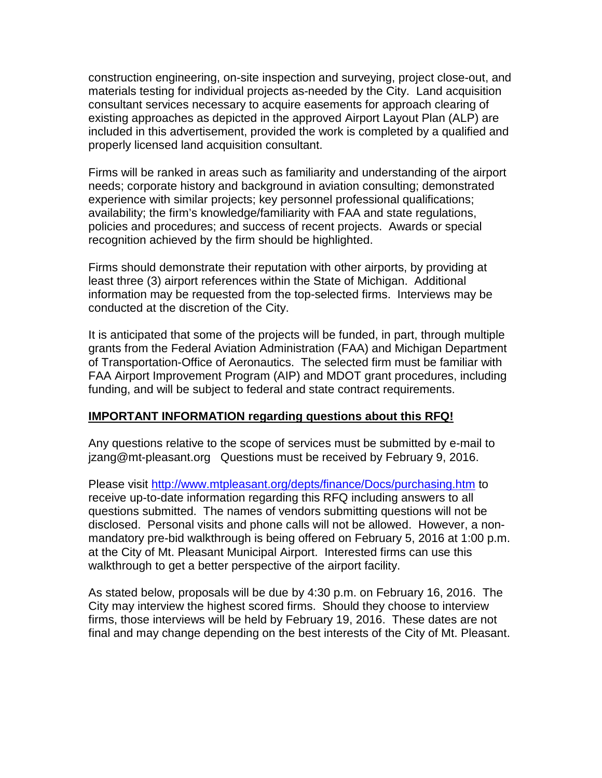construction engineering, on-site inspection and surveying, project close-out, and materials testing for individual projects as-needed by the City. Land acquisition consultant services necessary to acquire easements for approach clearing of existing approaches as depicted in the approved Airport Layout Plan (ALP) are included in this advertisement, provided the work is completed by a qualified and properly licensed land acquisition consultant.

Firms will be ranked in areas such as familiarity and understanding of the airport needs; corporate history and background in aviation consulting; demonstrated experience with similar projects; key personnel professional qualifications; availability; the firm's knowledge/familiarity with FAA and state regulations, policies and procedures; and success of recent projects. Awards or special recognition achieved by the firm should be highlighted.

Firms should demonstrate their reputation with other airports, by providing at least three (3) airport references within the State of Michigan. Additional information may be requested from the top-selected firms. Interviews may be conducted at the discretion of the City.

It is anticipated that some of the projects will be funded, in part, through multiple grants from the Federal Aviation Administration (FAA) and Michigan Department of Transportation-Office of Aeronautics. The selected firm must be familiar with FAA Airport Improvement Program (AIP) and MDOT grant procedures, including funding, and will be subject to federal and state contract requirements.

#### **IMPORTANT INFORMATION regarding questions about this RFQ!**

Any questions relative to the scope of services must be submitted by e-mail to jzang@mt-pleasant.org Questions must be received by February 9, 2016.

Please visit<http://www.mtpleasant.org/depts/finance/Docs/purchasing.htm> to receive up-to-date information regarding this RFQ including answers to all questions submitted. The names of vendors submitting questions will not be disclosed. Personal visits and phone calls will not be allowed. However, a nonmandatory pre-bid walkthrough is being offered on February 5, 2016 at 1:00 p.m. at the City of Mt. Pleasant Municipal Airport. Interested firms can use this walkthrough to get a better perspective of the airport facility.

As stated below, proposals will be due by 4:30 p.m. on February 16, 2016. The City may interview the highest scored firms. Should they choose to interview firms, those interviews will be held by February 19, 2016. These dates are not final and may change depending on the best interests of the City of Mt. Pleasant.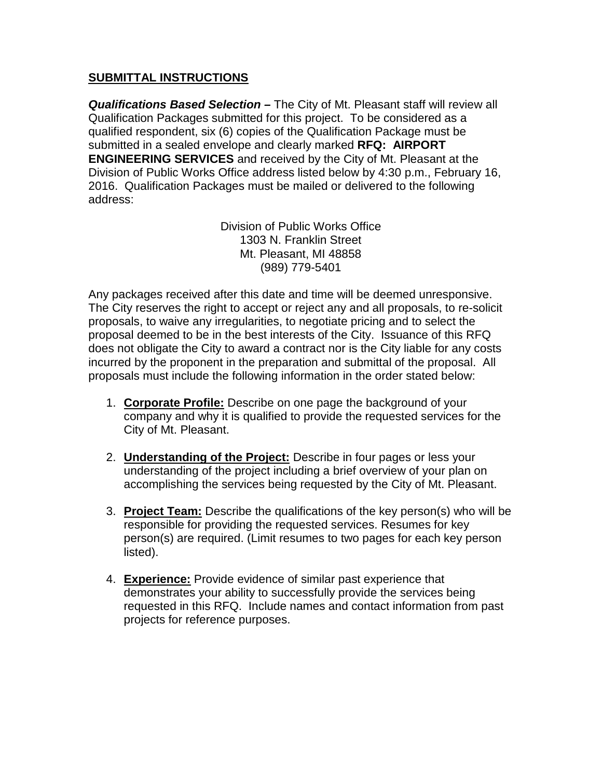# **SUBMITTAL INSTRUCTIONS**

*Qualifications Based Selection –* The City of Mt. Pleasant staff will review all Qualification Packages submitted for this project. To be considered as a qualified respondent, six (6) copies of the Qualification Package must be submitted in a sealed envelope and clearly marked **RFQ: AIRPORT ENGINEERING SERVICES** and received by the City of Mt. Pleasant at the Division of Public Works Office address listed below by 4:30 p.m., February 16, 2016. Qualification Packages must be mailed or delivered to the following address:

> Division of Public Works Office 1303 N. Franklin Street Mt. Pleasant, MI 48858 (989) 779-5401

Any packages received after this date and time will be deemed unresponsive. The City reserves the right to accept or reject any and all proposals, to re-solicit proposals, to waive any irregularities, to negotiate pricing and to select the proposal deemed to be in the best interests of the City. Issuance of this RFQ does not obligate the City to award a contract nor is the City liable for any costs incurred by the proponent in the preparation and submittal of the proposal. All proposals must include the following information in the order stated below:

- 1. **Corporate Profile:** Describe on one page the background of your company and why it is qualified to provide the requested services for the City of Mt. Pleasant.
- 2. **Understanding of the Project:** Describe in four pages or less your understanding of the project including a brief overview of your plan on accomplishing the services being requested by the City of Mt. Pleasant.
- 3. **Project Team:** Describe the qualifications of the key person(s) who will be responsible for providing the requested services. Resumes for key person(s) are required. (Limit resumes to two pages for each key person listed).
- 4. **Experience:** Provide evidence of similar past experience that demonstrates your ability to successfully provide the services being requested in this RFQ. Include names and contact information from past projects for reference purposes.